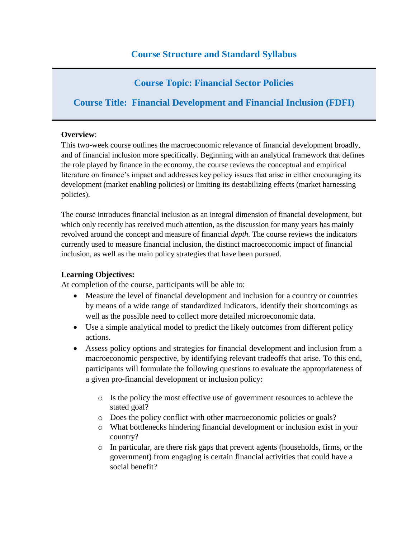# **Course Topic: Financial Sector Policies**

# **Course Title: Financial Development and Financial Inclusion (FDFI)**

### **Overview**:

This two-week course outlines the macroeconomic relevance of financial development broadly, and of financial inclusion more specifically. Beginning with an analytical framework that defines the role played by finance in the economy, the course reviews the conceptual and empirical literature on finance's impact and addresses key policy issues that arise in either encouraging its development (market enabling policies) or limiting its destabilizing effects (market harnessing policies).

The course introduces financial inclusion as an integral dimension of financial development, but which only recently has received much attention, as the discussion for many years has mainly revolved around the concept and measure of financial *depth*. The course reviews the indicators currently used to measure financial inclusion, the distinct macroeconomic impact of financial inclusion, as well as the main policy strategies that have been pursued.

### **Learning Objectives:**

At completion of the course, participants will be able to:

- Measure the level of financial development and inclusion for a country or countries by means of a wide range of standardized indicators, identify their shortcomings as well as the possible need to collect more detailed microeconomic data.
- Use a simple analytical model to predict the likely outcomes from different policy actions.
- Assess policy options and strategies for financial development and inclusion from a macroeconomic perspective, by identifying relevant tradeoffs that arise. To this end, participants will formulate the following questions to evaluate the appropriateness of a given pro-financial development or inclusion policy:
	- o Is the policy the most effective use of government resources to achieve the stated goal?
	- o Does the policy conflict with other macroeconomic policies or goals?
	- o What bottlenecks hindering financial development or inclusion exist in your country?
	- o In particular, are there risk gaps that prevent agents (households, firms, or the government) from engaging is certain financial activities that could have a social benefit?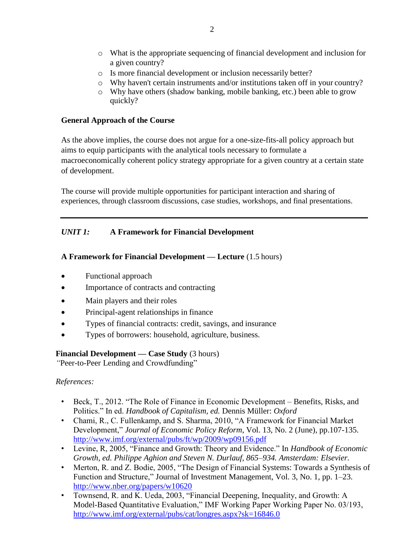- o What is the appropriate sequencing of financial development and inclusion for a given country?
- o Is more financial development or inclusion necessarily better?
- o Why haven't certain instruments and/or institutions taken off in your country?
- o Why have others (shadow banking, mobile banking, etc.) been able to grow quickly?

### **General Approach of the Course**

As the above implies, the course does not argue for a one-size-fits-all policy approach but aims to equip participants with the analytical tools necessary to formulate a macroeconomically coherent policy strategy appropriate for a given country at a certain state of development.

The course will provide multiple opportunities for participant interaction and sharing of experiences, through classroom discussions, case studies, workshops, and final presentations.

# *UNIT 1:* **A Framework for Financial Development**

# **A Framework for Financial Development — Lecture** (1.5 hours)

- Functional approach
- Importance of contracts and contracting
- Main players and their roles
- Principal-agent relationships in finance
- Types of financial contracts: credit, savings, and insurance
- Types of borrowers: household, agriculture, business.

### **Financial Development — Case Study** (3 hours)

*"*Peer-to-Peer Lending and Crowdfunding"

- Beck, T., 2012. "The Role of Finance in Economic Development Benefits, Risks, and Politics." In ed. *Handbook of Capitalism, ed.* Dennis Müller: *Oxford*
- Chami, R., C. Fullenkamp, and S. Sharma, 2010, "A Framework for Financial Market Development," *Journal of Economic Policy Reform*, Vol. 13, No. 2 (June), pp.107-135. <http://www.imf.org/external/pubs/ft/wp/2009/wp09156.pdf>
- Levine, R, 2005, "Finance and Growth: Theory and Evidence." In *Handbook of Economic Growth, ed. Philippe Aghion and Steven N. Durlauf, 865–934. Amsterdam: Elsevier.*
- Merton, R. and Z. Bodie, 2005, "The Design of Financial Systems: Towards a Synthesis of Function and Structure," Journal of Investment Management, Vol. 3, No. 1, pp. 1–23. <http://www.nber.org/papers/w10620>
- Townsend, R. and K. Ueda, 2003, "Financial Deepening, Inequality, and Growth: A Model-Based Quantitative Evaluation," IMF Working Paper Working Paper No. 03/193, <http://www.imf.org/external/pubs/cat/longres.aspx?sk=16846.0>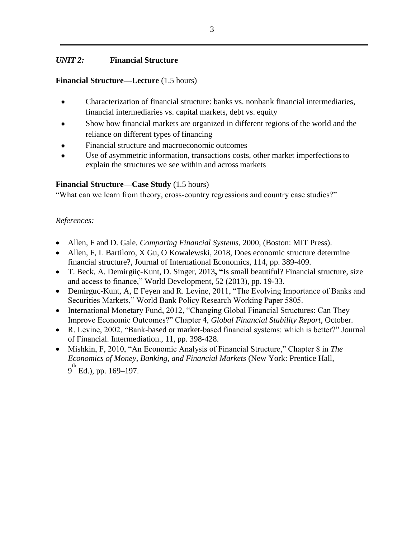# *UNIT 2:* **Financial Structure**

### **Financial Structure—Lecture** (1.5 hours)

- Characterization of financial structure: banks vs. nonbank financial intermediaries, financial intermediaries vs. capital markets, debt vs. equity
- Show how financial markets are organized in different regions of the world and the reliance on different types of financing
- Financial structure and macroeconomic outcomes
- Use of asymmetric information, transactions costs, other market imperfections to explain the structures we see within and across markets

# **Financial Structure—Case Study** (1.5 hours)

"What can we learn from theory, cross-country regressions and country case studies?"

- Allen, F and D. Gale, *Comparing Financial Systems*, 2000, (Boston: MIT Press).
- [Allen,](https://scholar.google.com/citations?user=GVbYrSIAAAAJ&hl=en&oi=sra) F, L Bartiloro, [X Gu,](https://scholar.google.com/citations?user=0t6cyB0AAAAJ&hl=en&oi=sra) [O Kowalewski,](https://scholar.google.com/citations?user=gUWOWzEAAAAJ&hl=en&oi=sra) 2018, [Does economic structure determine](http://scholar.google.com/scholar_url?url=https%3A%2F%2Fwww.sciencedirect.com%2Fscience%2Farticle%2Fpii%2FS0022199618302563&hl=en&sa=T&ct=res&cd=0&d=15786352076128722658&ei=vFCRXMbYOtfLmAGRvKvQDA&scisig=AAGBfm0te-Vz2_UWY4OTZm6afCQT0oaDeQ&nossl=1&ws=1920x908&at=Does%20economic%20structure%20determine%20financial%20structure%3F&bn=1)  [financial structure?,](http://scholar.google.com/scholar_url?url=https%3A%2F%2Fwww.sciencedirect.com%2Fscience%2Farticle%2Fpii%2FS0022199618302563&hl=en&sa=T&ct=res&cd=0&d=15786352076128722658&ei=vFCRXMbYOtfLmAGRvKvQDA&scisig=AAGBfm0te-Vz2_UWY4OTZm6afCQT0oaDeQ&nossl=1&ws=1920x908&at=Does%20economic%20structure%20determine%20financial%20structure%3F&bn=1) [Journal of International Economics,](https://www.sciencedirect.com/science/journal/00221996) [114,](https://www.sciencedirect.com/science/journal/00221996/114/supp/C) pp. 389-409.
- T. Beck, A. Demirgüç-Kunt, D. Singer, 2013**, "**Is small beautiful? Financial structure, size and access to finance," World Development, 52 (2013), pp. 19-33.
- Demirguc-Kunt, A, E Feyen and R. Levine, 2011, "The Evolving Importance of Banks and Securities Markets," World Bank Policy Research Working Paper 5805.
- International Monetary Fund, 2012, "Changing Global Financial Structures: Can They Improve Economic Outcomes?" Chapter 4, *Global Financial Stability Report*, October.
- R. Levine, 2002, "Bank-based or market-based financial systems: which is better?" Journal of Financial. Intermediation., 11, pp. 398-428.
- Mishkin, F, 2010, "An Economic Analysis of Financial Structure," Chapter 8 in *The Economics of Money, Banking, and Financial Markets* (New York: Prentice Hall,  $9^{\text{th}}$  Ed.), pp. 169–197.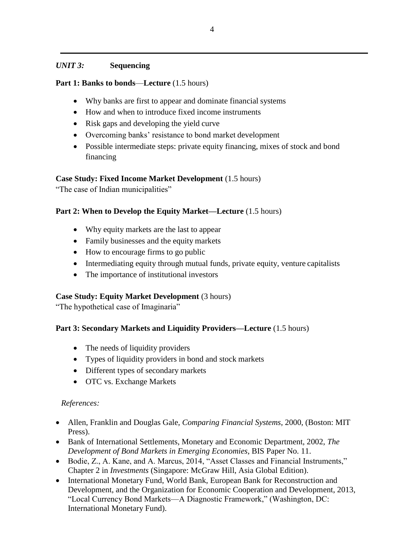# *UNIT 3:* **Sequencing**

# **Part 1: Banks to bonds**—**Lecture** (1.5 hours)

- Why banks are first to appear and dominate financial systems
- How and when to introduce fixed income instruments
- Risk gaps and developing the yield curve
- Overcoming banks' resistance to bond market development
- Possible intermediate steps: private equity financing, mixes of stock and bond financing

# **Case Study: Fixed Income Market Development** (1.5 hours)

"The case of Indian municipalities"

# **Part 2: When to Develop the Equity Market—Lecture** (1.5 hours)

- Why equity markets are the last to appear
- Family businesses and the equity markets
- How to encourage firms to go public
- Intermediating equity through mutual funds, private equity, venture capitalists
- The importance of institutional investors

# **Case Study: Equity Market Development** (3 hours)

"The hypothetical case of Imaginaria"

# **Part 3: Secondary Markets and Liquidity Providers—Lecture** (1.5 hours)

- The needs of liquidity providers
- Types of liquidity providers in bond and stock markets
- Different types of secondary markets
- OTC vs. Exchange Markets

- Allen, Franklin and Douglas Gale, *Comparing Financial Systems*, 2000, (Boston: MIT Press).
- Bank of International Settlements, Monetary and Economic Department, 2002, *The Development of Bond Markets in Emerging Economies*, BIS Paper No. 11.
- Bodie, Z., A. Kane, and A. Marcus, 2014, "Asset Classes and Financial Instruments," Chapter 2 in *Investments* (Singapore: McGraw Hill, Asia Global Edition).
- International Monetary Fund, World Bank, European Bank for Reconstruction and Development, and the Organization for Economic Cooperation and Development, 2013, "Local Currency Bond Markets—A Diagnostic Framework," (Washington, DC: International Monetary Fund).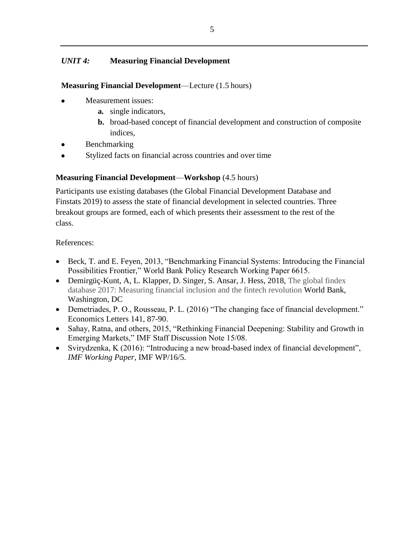# *UNIT 4:* **Measuring Financial Development**

#### **Measuring Financial Development**—Lecture (1.5 hours)

- Measurement issues:
	- **a.** single indicators,
	- **b.** broad-based concept of financial development and construction of composite indices,
- **Benchmarking**
- Stylized facts on financial across countries and over time

### **Measuring Financial Development**—**Workshop** (4.5 hours)

Participants use existing databases (the Global Financial Development Database and Finstats 2019) to assess the state of financial development in selected countries. Three breakout groups are formed, each of which presents their assessment to the rest of the class.

- Beck, T. and E. Feyen, 2013, "Benchmarking Financial Systems: Introducing the Financial Possibilities Frontier," World Bank Policy Research Working Paper 6615.
- Demirgüç-Kunt, A, L. Klapper, D. Singer, S. Ansar, J. Hess, 2018, The global findex database 2017: Measuring financial inclusion and the fintech revolution World Bank, Washington, DC
- Demetriades, P. O., Rousseau, P. L. (2016) "The changing face of financial development." Economics Letters 141, 87-90.
- Sahay, Ratna, and others, 2015, "Rethinking Financial Deepening: Stability and Growth in Emerging Markets," IMF Staff Discussion Note 15/08.
- Svirydzenka, K (2016): "Introducing a new broad-based index of financial development", *IMF Working Paper*, IMF WP/16/5.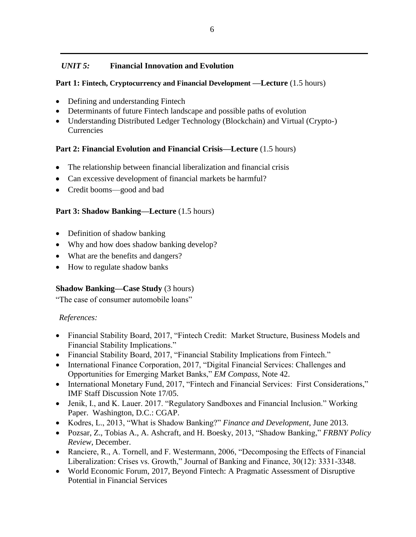# *UNIT 5:* **Financial Innovation and Evolution**

### **Part 1: Fintech, Cryptocurrency and Financial Development —Lecture** (1.5 hours)

- Defining and understanding Fintech
- Determinants of future Fintech landscape and possible paths of evolution
- Understanding Distributed Ledger Technology (Blockchain) and Virtual (Crypto-) **Currencies**

#### Part 2: Financial Evolution and Financial Crisis—Lecture (1.5 hours)

- The relationship between financial liberalization and financial crisis
- Can excessive development of financial markets be harmful?
- Credit booms—good and bad

#### Part 3: Shadow Banking—Lecture (1.5 hours)

- Definition of shadow banking
- Why and how does shadow banking develop?
- What are the benefits and dangers?
- How to regulate shadow banks

### **Shadow Banking—Case Study (3 hours)**

"The case of consumer automobile loans"

- Financial Stability Board, 2017, "Fintech Credit: Market Structure, Business Models and Financial Stability Implications."
- Financial Stability Board, 2017, "Financial Stability Implications from Fintech."
- International Finance Corporation, 2017, "Digital Financial Services: Challenges and Opportunities for Emerging Market Banks," *EM Compass*, Note 42.
- International Monetary Fund, 2017, "Fintech and Financial Services: First Considerations," IMF Staff Discussion Note 17/05.
- Jenik, I., and K. Lauer. 2017. "Regulatory Sandboxes and Financial Inclusion." Working Paper. Washington, D.C.: CGAP.
- Kodres, L., 2013, "What is Shadow Banking?" *Finance and Development*, June 2013.
- Pozsar, Z., Tobias A., A. Ashcraft, and H. Boesky, 2013, "Shadow Banking," *FRBNY Policy Review*, December.
- Ranciere, R., A. Tornell, and F. Westermann, 2006, "Decomposing the Effects of Financial Liberalization: Crises vs. Growth," Journal of Banking and Finance, 30(12): 3331-3348.
- World Economic Forum, 2017, Beyond Fintech: A Pragmatic Assessment of Disruptive Potential in Financial Services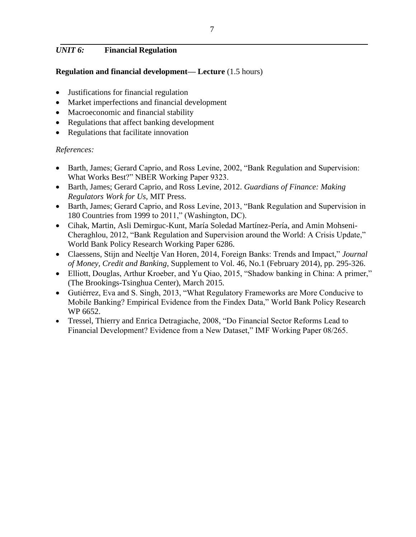# *UNIT 6:* **Financial Regulation**

### **Regulation and financial development— Lecture** (1.5 hours)

- Justifications for financial regulation
- Market imperfections and financial development
- Macroeconomic and financial stability
- Regulations that affect banking development
- Regulations that facilitate innovation

- Barth, James; Gerard Caprio, and Ross Levine, 2002, "Bank Regulation and Supervision: What Works Best?" NBER Working Paper 9323.
- Barth, James; Gerard Caprio, and Ross Levine, 2012. *Guardians of Finance: Making Regulators Work for Us,* MIT Press.
- Barth, James; Gerard Caprio, and Ross Levine, 2013, "Bank Regulation and Supervision in 180 Countries from 1999 to 2011," (Washington, DC).
- Cihak, Martin, Asli Demirguc-Kunt, María Soledad Martínez-Pería, and Amin Mohseni-Cheraghlou, 2012, "Bank Regulation and Supervision around the World: A Crisis Update," World Bank Policy Research Working Paper 6286.
- Claessens, Stijn and Neeltje Van Horen, 2014, Foreign Banks: Trends and Impact," *Journal of Money, Credit and Banking*, Supplement to Vol. 46, No.1 (February 2014), pp. 295-326.
- Elliott, Douglas, Arthur Kroeber, and Yu Qiao, 2015, "Shadow banking in China: A primer," (The Brookings-Tsinghua Center), March 2015.
- Gutiérrez, Eva and S. Singh, 2013, "What Regulatory Frameworks are More Conducive to Mobile Banking? Empirical Evidence from the Findex Data," World Bank Policy Research WP 6652.
- Tressel, Thierry and Enrica Detragiache, 2008, "Do Financial Sector Reforms Lead to Financial Development? Evidence from a New Dataset," IMF Working Paper 08/265.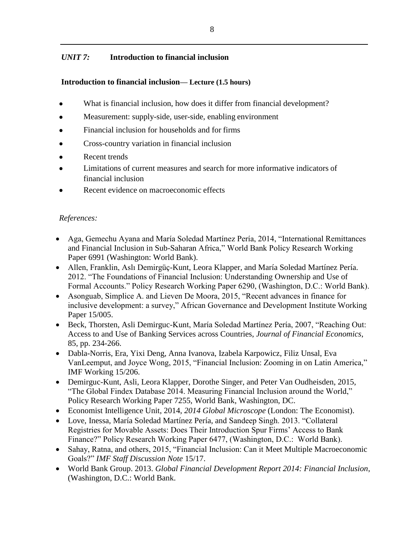# *UNIT 7:* **Introduction to financial inclusion**

# **Introduction to financial inclusion— Lecture (1.5 hours)**

- What is financial inclusion, how does it differ from financial development?
- Measurement: supply-side, user-side, enabling environment
- Financial inclusion for households and for firms
- Cross-country variation in financial inclusion
- Recent trends
- Limitations of current measures and search for more informative indicators of financial inclusion
- Recent evidence on macroeconomic effects

- Aga, Gemechu Ayana and María Soledad Martínez Pería, 2014, "International Remittances and Financial Inclusion in Sub-Saharan Africa," World Bank Policy Research Working Paper 6991 (Washington: World Bank).
- Allen, Franklin, Aslı Demirgüç-Kunt, Leora Klapper, and María Soledad Martínez Pería. 2012. "The Foundations of Financial Inclusion: Understanding Ownership and Use of Formal Accounts." Policy Research Working Paper 6290, (Washington, D.C.: World Bank).
- Asonguab, Simplice A. and Lieven De Moora, 2015, "Recent advances in finance for inclusive development: a survey," African Governance and Development Institute Working Paper 15/005.
- Beck, Thorsten, Asli Demirguc-Kunt, María Soledad Martínez Pería, 2007, "Reaching Out: Access to and Use of Banking Services across Countries, *Journal of Financial Economics*, 85, pp. 234-266.
- Dabla-Norris, Era, Yixi Deng, Anna Ivanova, Izabela Karpowicz, Filiz Unsal, Eva VanLeemput, and Joyce Wong, 2015, "Financial Inclusion: Zooming in on Latin America," IMF Working 15/206.
- Demirguc-Kunt, Asli, Leora Klapper, Dorothe Singer, and Peter Van Oudheisden, 2015, "The Global Findex Database 2014. Measuring Financial Inclusion around the World," Policy Research Working Paper 7255, World Bank, Washington, DC.
- Economist Intelligence Unit, 2014, *2014 Global Microscope* (London: The Economist).
- Love, Inessa, María Soledad Martínez Pería, and Sandeep Singh. 2013. "Collateral Registries for Movable Assets: Does Their Introduction Spur Firms' Access to Bank Finance?" Policy Research Working Paper 6477, (Washington, D.C.: World Bank).
- Sahay, Ratna, and others, 2015, "Financial Inclusion: Can it Meet Multiple Macroeconomic Goals?" *IMF Staff Discussion Note* 15/17.
- World Bank Group. 2013. *Global Financial Development Report 2014: Financial Inclusion*, (Washington, D.C.: World Bank.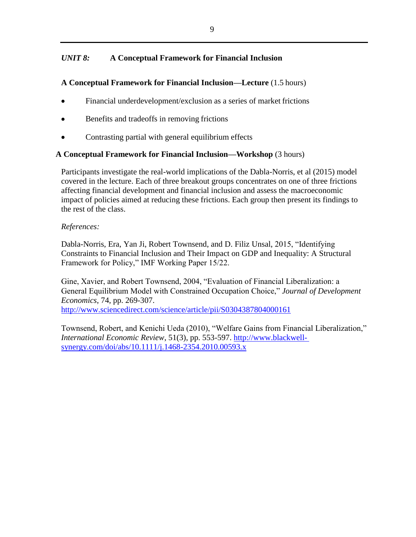# *UNIT 8:* **A Conceptual Framework for Financial Inclusion**

### **A Conceptual Framework for Financial Inclusion—Lecture** (1.5 hours)

- Financial underdevelopment/exclusion as a series of market frictions
- Benefits and tradeoffs in removing frictions
- Contrasting partial with general equilibrium effects

#### **A Conceptual Framework for Financial Inclusion—Workshop** (3 hours)

Participants investigate the real-world implications of the Dabla-Norris, et al (2015) model covered in the lecture. Each of three breakout groups concentrates on one of three frictions affecting financial development and financial inclusion and assess the macroeconomic impact of policies aimed at reducing these frictions. Each group then present its findings to the rest of the class.

#### *References:*

Dabla-Norris, Era, Yan Ji, Robert Townsend, and D. Filiz Unsal, 2015, "Identifying Constraints to Financial Inclusion and Their Impact on GDP and Inequality: A Structural Framework for Policy," IMF Working Paper 15/22.

Gine, Xavier, and Robert Townsend, 2004, "Evaluation of Financial Liberalization: a General Equilibrium Model with Constrained Occupation Choice," *Journal of Development Economics*, 74, pp. 269-307.

<http://www.sciencedirect.com/science/article/pii/S0304387804000161>

Townsend, Robert, and Kenichi Ueda (2010), "Welfare Gains from Financial Liberalization," *International Economic Review*, 51(3), pp. 553-597. [http://www.blackwell](http://www.blackwell-synergy.com/doi/abs/10.1111/j.1468-2354.2010.00593.x)[synergy.com/doi/abs/10.1111/j.1468-2354.2010.00593.x](http://www.blackwell-synergy.com/doi/abs/10.1111/j.1468-2354.2010.00593.x)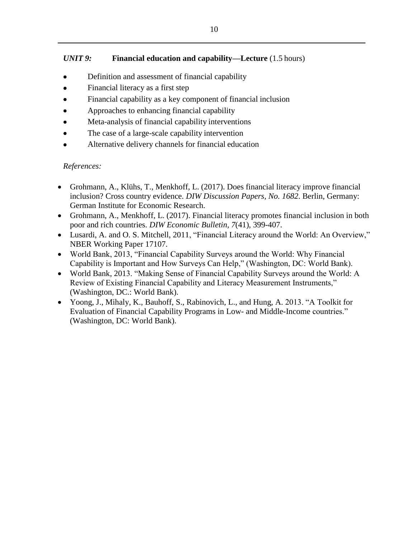# *UNIT 9:* **Financial education and capability—Lecture** (1.5 hours)

- Definition and assessment of financial capability
- Financial literacy as a first step
- Financial capability as a key component of financial inclusion
- Approaches to enhancing financial capability
- Meta-analysis of financial capability interventions
- The case of a large-scale capability intervention
- Alternative delivery channels for financial education

- Grohmann, A., Klühs, T., Menkhoff, L. (2017). Does financial literacy improve financial inclusion? Cross country evidence. *DIW Discussion Papers, No. 1682*. Berlin, Germany: German Institute for Economic Research.
- Grohmann, A., Menkhoff, L. (2017). Financial literacy promotes financial inclusion in both poor and rich countries. *DIW Economic Bulletin, 7*(41), 399-407.
- Lusardi, A. and O. S. Mitchell, 2011, "Financial Literacy around the World: An Overview," NBER Working Paper 17107.
- World Bank, 2013, "Financial Capability Surveys around the World: Why Financial Capability is Important and How Surveys Can Help," (Washington, DC: World Bank).
- World Bank, 2013. "Making Sense of Financial Capability Surveys around the World: A Review of Existing Financial Capability and Literacy Measurement Instruments," (Washington, DC.: World Bank).
- Yoong, J., Mihaly, K., Bauhoff, S., Rabinovich, L., and Hung, A. 2013. "A Toolkit for Evaluation of Financial Capability Programs in Low- and Middle-Income countries." (Washington, DC: World Bank).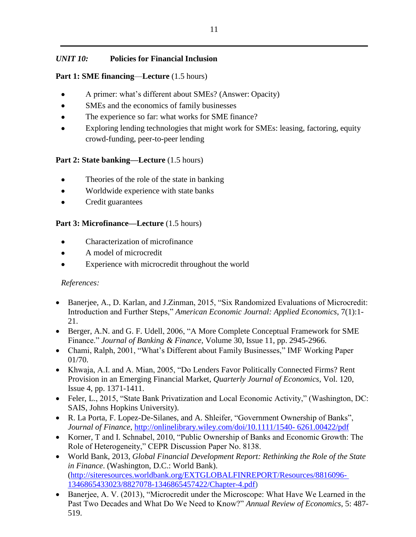# *UNIT 10:* **Policies for Financial Inclusion**

# **Part 1: SME financing**—**Lecture** (1.5 hours)

- A primer: what's different about SMEs? (Answer: Opacity)
- SMEs and the economics of family businesses
- The experience so far: what works for SME finance?
- Exploring lending technologies that might work for SMEs: leasing, factoring, equity crowd-funding, peer-to-peer lending

# **Part 2: State banking—Lecture** (1.5 hours)

- Theories of the role of the state in banking
- Worldwide experience with state banks
- Credit guarantees

# **Part 3: Microfinance—Lecture** (1.5 hours)

- Characterization of microfinance
- A model of microcredit
- Experience with microcredit throughout the world

- Banerjee, A., D. Karlan, and J.Zinman, 2015, "Six Randomized Evaluations of Microcredit: Introduction and Further Steps," *American Economic Journal: Applied Economics*, 7(1):1- 21.
- Berger, A.N. and G. F. Udell, 2006, "A More Complete Conceptual Framework for SME Finance." *Journal of Banking & Finance*, Volume 30, Issue 11, pp. 2945-2966.
- Chami, Ralph, 2001, "What's Different about Family Businesses," IMF Working Paper 01/70.
- Khwaja, A.I. and A. Mian, 2005, "Do Lenders Favor Politically Connected Firms? Rent Provision in an Emerging Financial Market, *Quarterly Journal of Economics*, Vol. 120, Issue 4, pp. 1371-1411.
- Feler, L., 2015, "State Bank Privatization and Local Economic Activity," (Washington, DC: SAIS, Johns Hopkins University).
- R. La Porta, F. Lopez-De-Silanes, and A. Shleifer, "Government Ownership of Banks", *Journal of Finance,* [http://onlinelibrary.wiley.com/doi/10.1111/1540-](http://onlinelibrary.wiley.com/doi/10.1111/1540-6261.00422/pdf) [6261.00422/pdf](http://onlinelibrary.wiley.com/doi/10.1111/1540-6261.00422/pdf)
- Korner, T and I. Schnabel, 2010, "Public Ownership of Banks and Economic Growth: The Role of Heterogeneity," CEPR Discussion Paper No. 8138.
- World Bank, 2013, *Global Financial Development Report: Rethinking the Role of the State in Finance*. (Washington, D.C.: World Bank). [\(http://siteresources.worldbank.org/EXTGLOBALFINREPORT/Resources/8816096-](http://siteresources.worldbank.org/EXTGLOBALFINREPORT/Resources/8816096-1346865433023/8827078-1346865457422/Chapter-4.pdf) [1346865433023/8827078-1346865457422/Chapter-4.pdf\)](http://siteresources.worldbank.org/EXTGLOBALFINREPORT/Resources/8816096-1346865433023/8827078-1346865457422/Chapter-4.pdf)
- Banerjee, A. V. (2013), "Microcredit under the Microscope: What Have We Learned in the Past Two Decades and What Do We Need to Know?" *Annual Review of Economics*, 5: 487- 519.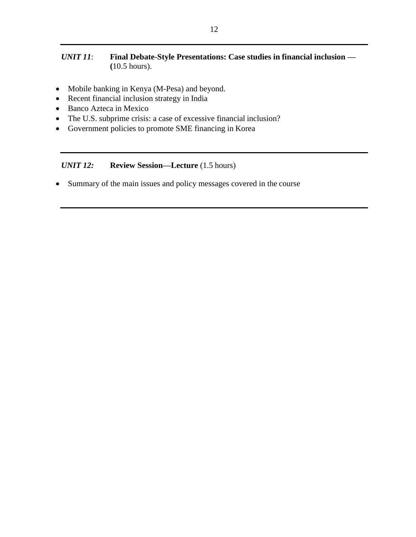# *UNIT 11*: **Final Debate-Style Presentations: Case studies in financial inclusion — (**10.5 hours).

- Mobile banking in Kenya (M-Pesa) and beyond.
- Recent financial inclusion strategy in India
- Banco Azteca in Mexico
- The U.S. subprime crisis: a case of excessive financial inclusion?
- Government policies to promote SME financing in Korea

# *UNIT 12:* **Review Session—Lecture** (1.5 hours)

• Summary of the main issues and policy messages covered in the course